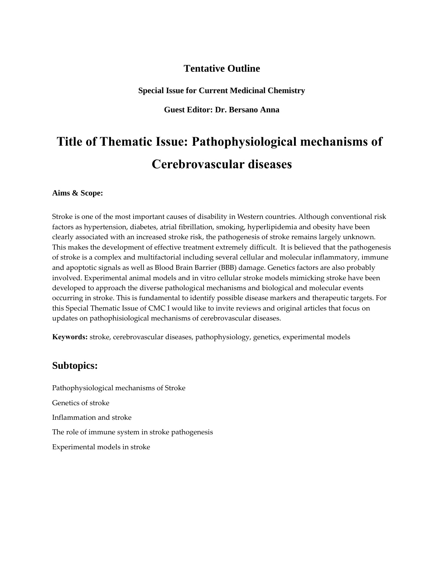## **Tentative Outline**

**Special Issue for Current Medicinal Chemistry**

**Guest Editor: Dr. Bersano Anna**

# **Title of Thematic Issue: Pathophysiological mechanisms of Cerebrovascular diseases**

#### **Aims & Scope:**

Stroke is one of the most important causes of disability in Western countries. Although conventional risk factors as hypertension, diabetes, atrial fibrillation, smoking, hyperlipidemia and obesity have been clearly associated with an increased stroke risk, the pathogenesis of stroke remains largely unknown. This makes the development of effective treatment extremely difficult. It is believed that the pathogenesis of stroke is a complex and multifactorial including several cellular and molecular inflammatory, immune and apoptotic signals as well as Blood Brain Barrier (BBB) damage. Genetics factors are also probably involved. Experimental animal models and in vitro cellular stroke models mimicking stroke have been developed to approach the diverse pathological mechanisms and biological and molecular events occurring in stroke. This is fundamental to identify possible disease markers and therapeutic targets. For this Special Thematic Issue of CMC I would like to invite reviews and original articles that focus on updates on pathophisiological mechanisms of cerebrovascular diseases.

**Keywords:** stroke, cerebrovascular diseases, pathophysiology, genetics, experimental models

### **Subtopics:**

Pathophysiological mechanisms of Stroke Genetics of stroke Inflammation and stroke The role of immune system in stroke pathogenesis Experimental models in stroke